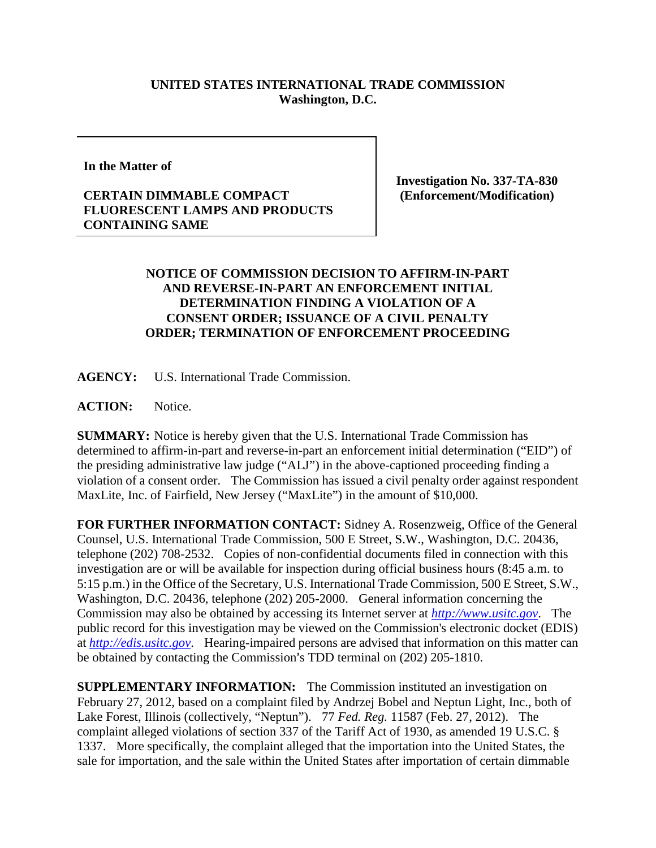## **UNITED STATES INTERNATIONAL TRADE COMMISSION Washington, D.C.**

**In the Matter of**

## **CERTAIN DIMMABLE COMPACT FLUORESCENT LAMPS AND PRODUCTS CONTAINING SAME**

**Investigation No. 337-TA-830 (Enforcement/Modification)**

## **NOTICE OF COMMISSION DECISION TO AFFIRM-IN-PART AND REVERSE-IN-PART AN ENFORCEMENT INITIAL DETERMINATION FINDING A VIOLATION OF A CONSENT ORDER; ISSUANCE OF A CIVIL PENALTY ORDER; TERMINATION OF ENFORCEMENT PROCEEDING**

**AGENCY:** U.S. International Trade Commission.

**ACTION:** Notice.

**SUMMARY:** Notice is hereby given that the U.S. International Trade Commission has determined to affirm-in-part and reverse-in-part an enforcement initial determination ("EID") of the presiding administrative law judge ("ALJ") in the above-captioned proceeding finding a violation of a consent order. The Commission has issued a civil penalty order against respondent MaxLite, Inc. of Fairfield, New Jersey ("MaxLite") in the amount of \$10,000.

**FOR FURTHER INFORMATION CONTACT:** Sidney A. Rosenzweig, Office of the General Counsel, U.S. International Trade Commission, 500 E Street, S.W., Washington, D.C. 20436, telephone (202) 708-2532. Copies of non-confidential documents filed in connection with this investigation are or will be available for inspection during official business hours (8:45 a.m. to 5:15 p.m.) in the Office of the Secretary, U.S. International Trade Commission, 500 E Street, S.W., Washington, D.C. 20436, telephone (202) 205-2000. General information concerning the Commission may also be obtained by accessing its Internet server at *[http://www.usitc.gov](http://www.usitc.gov/)*. The public record for this investigation may be viewed on the Commission's electronic docket (EDIS) at *[http://edis.usitc.gov](http://edis.usitc.gov/)*. Hearing-impaired persons are advised that information on this matter can be obtained by contacting the Commission's TDD terminal on (202) 205-1810.

**SUPPLEMENTARY INFORMATION:** The Commission instituted an investigation on February 27, 2012, based on a complaint filed by Andrzej Bobel and Neptun Light, Inc., both of Lake Forest, Illinois (collectively, "Neptun"). 77 *Fed. Reg.* 11587 (Feb. 27, 2012). The complaint alleged violations of section 337 of the Tariff Act of 1930, as amended 19 U.S.C. § 1337. More specifically, the complaint alleged that the importation into the United States, the sale for importation, and the sale within the United States after importation of certain dimmable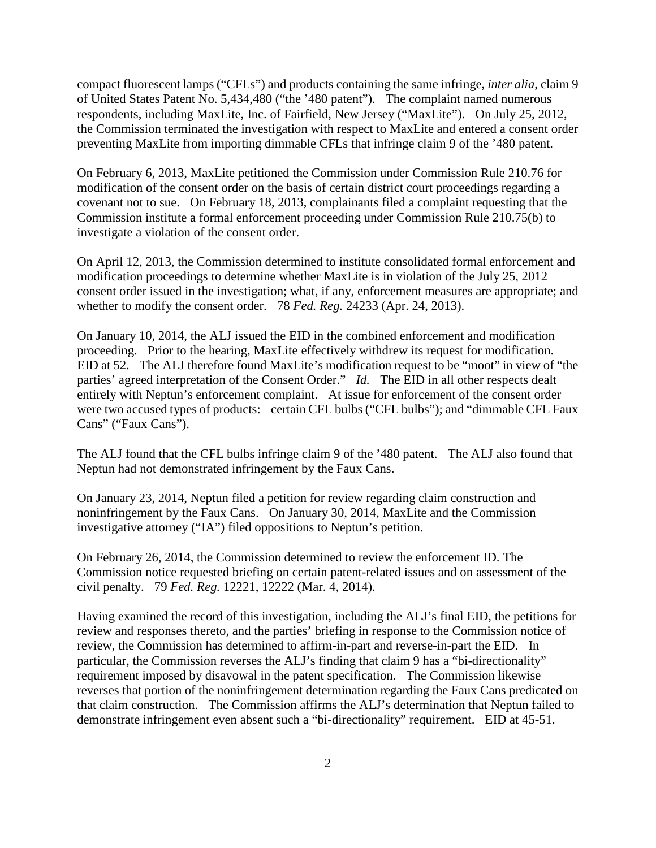compact fluorescent lamps ("CFLs") and products containing the same infringe, *inter alia*, claim 9 of United States Patent No. 5,434,480 ("the '480 patent"). The complaint named numerous respondents, including MaxLite, Inc. of Fairfield, New Jersey ("MaxLite"). On July 25, 2012, the Commission terminated the investigation with respect to MaxLite and entered a consent order preventing MaxLite from importing dimmable CFLs that infringe claim 9 of the '480 patent.

On February 6, 2013, MaxLite petitioned the Commission under Commission Rule 210.76 for modification of the consent order on the basis of certain district court proceedings regarding a covenant not to sue. On February 18, 2013, complainants filed a complaint requesting that the Commission institute a formal enforcement proceeding under Commission Rule 210.75(b) to investigate a violation of the consent order.

On April 12, 2013, the Commission determined to institute consolidated formal enforcement and modification proceedings to determine whether MaxLite is in violation of the July 25, 2012 consent order issued in the investigation; what, if any, enforcement measures are appropriate; and whether to modify the consent order. 78 *Fed. Reg.* 24233 (Apr. 24, 2013).

On January 10, 2014, the ALJ issued the EID in the combined enforcement and modification proceeding. Prior to the hearing, MaxLite effectively withdrew its request for modification. EID at 52. The ALJ therefore found MaxLite's modification request to be "moot" in view of "the parties' agreed interpretation of the Consent Order." *Id.* The EID in all other respects dealt entirely with Neptun's enforcement complaint. At issue for enforcement of the consent order were two accused types of products: certain CFL bulbs ("CFL bulbs"); and "dimmable CFL Faux Cans" ("Faux Cans").

The ALJ found that the CFL bulbs infringe claim 9 of the '480 patent. The ALJ also found that Neptun had not demonstrated infringement by the Faux Cans.

On January 23, 2014, Neptun filed a petition for review regarding claim construction and noninfringement by the Faux Cans. On January 30, 2014, MaxLite and the Commission investigative attorney ("IA") filed oppositions to Neptun's petition.

On February 26, 2014, the Commission determined to review the enforcement ID. The Commission notice requested briefing on certain patent-related issues and on assessment of the civil penalty. 79 *Fed. Reg.* 12221, 12222 (Mar. 4, 2014).

Having examined the record of this investigation, including the ALJ's final EID, the petitions for review and responses thereto, and the parties' briefing in response to the Commission notice of review, the Commission has determined to affirm-in-part and reverse-in-part the EID. In particular, the Commission reverses the ALJ's finding that claim 9 has a "bi-directionality" requirement imposed by disavowal in the patent specification. The Commission likewise reverses that portion of the noninfringement determination regarding the Faux Cans predicated on that claim construction. The Commission affirms the ALJ's determination that Neptun failed to demonstrate infringement even absent such a "bi-directionality" requirement. EID at 45-51.